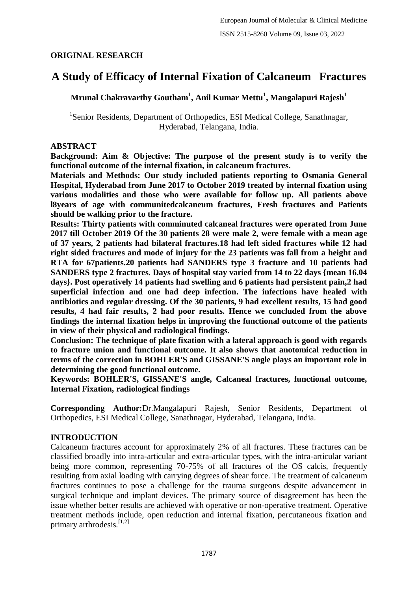## **ORIGINAL RESEARCH**

# **A Study of Efficacy of Internal Fixation of Calcaneum Fractures**

**Mrunal Chakravarthy Goutham<sup>1</sup> , Anil Kumar Mettu<sup>1</sup> , Mangalapuri Rajesh<sup>1</sup>**

<sup>1</sup>Senior Residents, Department of Orthopedics, ESI Medical College, Sanathnagar, Hyderabad, Telangana, India.

#### **ABSTRACT**

**Background: Aim & Objective: The purpose of the present study is to verify the functional outcome of the internal fixation, in calcaneum fractures.**

**Materials and Methods: Our study included patients reporting to Osmania General Hospital, Hyderabad from June 2017 to October 2019 treated by internal fixation using various modalities and those who were available for follow up. All patients above l8years of age with communitedcalcaneum fractures, Fresh fractures and Patients should be walking prior to the fracture.**

**Results: Thirty patients with comminuted calcaneal fractures were operated from June 2017 till October 2019 Of the 30 patients 28 were male 2, were female with a mean age of 37 years, 2 patients had bilateral fractures.18 had left sided fractures while 12 had right sided fractures and mode of injury for the 23 patients was fall from a height and RTA for 67patients.20 patients had SANDERS type 3 fracture and 10 patients had SANDERS type 2 fractures. Days of hospital stay varied from 14 to 22 days {mean 16.04 days}. Post operatively 14 patients had swelling and 6 patients had persistent pain,2 had superficial infection and one had deep infection. The infections have healed with antibiotics and regular dressing. Of the 30 patients, 9 had excellent results, 15 had good results, 4 had fair results, 2 had poor results. Hence we concluded from the above findings the internal fixation helps in improving the functional outcome of the patients in view of their physical and radiological findings.**

**Conclusion: The technique of plate fixation with a lateral approach is good with regards to fracture union and functional outcome. It also shows that anotomical reduction in terms of the correction in BOHLER'S and GISSANE'S angle plays an important role in determining the good functional outcome.**

**Keywords: BOHLER'S, GISSANE'S angle, Calcaneal fractures, functional outcome, Internal Fixation, radiological findings**

**Corresponding Author:**Dr.Mangalapuri Rajesh, Senior Residents, Department of Orthopedics, ESI Medical College, Sanathnagar, Hyderabad, Telangana, India.

### **INTRODUCTION**

Calcaneum fractures account for approximately 2% of all fractures. These fractures can be classified broadly into intra-articular and extra-articular types, with the intra-articular variant being more common, representing 70-75% of all fractures of the OS calcis, frequently resulting from axial loading with carrying degrees of shear force. The treatment of calcaneum fractures continues to pose a challenge for the trauma surgeons despite advancement in surgical technique and implant devices. The primary source of disagreement has been the issue whether better results are achieved with operative or non-operative treatment. Operative treatment methods include, open reduction and internal fixation, percutaneous fixation and primary arthrodesis. $[1,2]$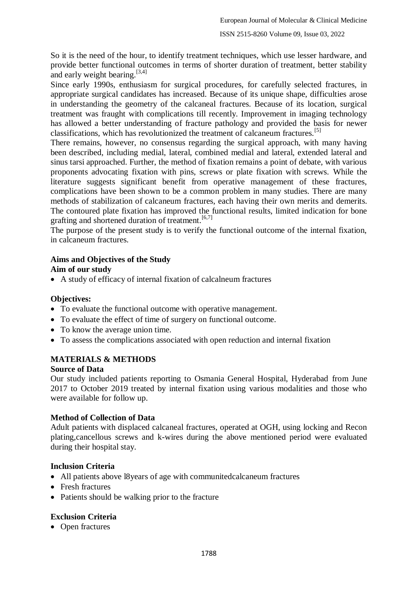So it is the need of the hour, to identify treatment techniques, which use lesser hardware, and provide better functional outcomes in terms of shorter duration of treatment, better stability and early weight bearing.[3,4]

Since early 1990s, enthusiasm for surgical procedures, for carefully selected fractures, in appropriate surgical candidates has increased. Because of its unique shape, difficulties arose in understanding the geometry of the calcaneal fractures. Because of its location, surgical treatment was fraught with complications till recently. Improvement in imaging technology has allowed a better understanding of fracture pathology and provided the basis for newer classifications, which has revolutionized the treatment of calcaneum fractures.[5]

There remains, however, no consensus regarding the surgical approach, with many having been described, including medial, lateral, combined medial and lateral, extended lateral and sinus tarsi approached. Further, the method of fixation remains a point of debate, with various proponents advocating fixation with pins, screws or plate fixation with screws. While the literature suggests significant benefit from operative management of these fractures, complications have been shown to be a common problem in many studies. There are many methods of stabilization of calcaneum fractures, each having their own merits and demerits. The contoured plate fixation has improved the functional results, limited indication for bone grafting and shortened duration of treatment.<sup>[6,7]</sup>

The purpose of the present study is to verify the functional outcome of the internal fixation, in calcaneum fractures.

#### **Aims and Objectives of the Study Aim of our study**

A study of efficacy of internal fixation of calcalneum fractures

### **Objectives:**

- To evaluate the functional outcome with operative management.
- To evaluate the effect of time of surgery on functional outcome.
- To know the average union time.
- To assess the complications associated with open reduction and internal fixation

## **MATERIALS & METHODS**

### **Source of Data**

Our study included patients reporting to Osmania General Hospital, Hyderabad from June 2017 to October 2019 treated by internal fixation using various modalities and those who were available for follow up.

### **Method of Collection of Data**

Adult patients with displaced calcaneal fractures, operated at OGH, using locking and Recon plating,cancellous screws and k-wires during the above mentioned period were evaluated during their hospital stay.

### **Inclusion Criteria**

- All patients above l8years of age with communitedcalcaneum fractures
- Fresh fractures
- Patients should be walking prior to the fracture

## **Exclusion Criteria**

• Open fractures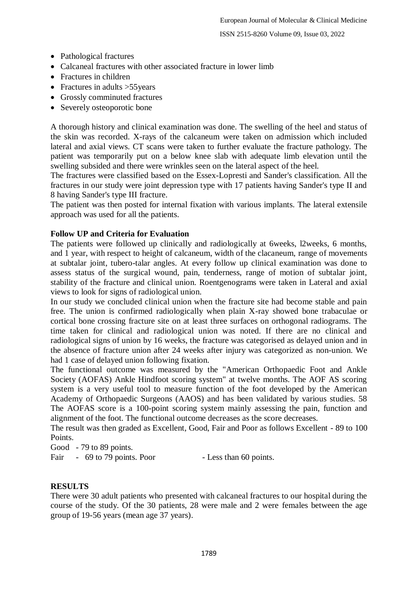- Pathological fractures
- Calcaneal fractures with other associated fracture in lower limb
- Fractures in children
- Fractures in adults > 55 years
- Grossly comminuted fractures
- Severely osteoporotic bone

A thorough history and clinical examination was done. The swelling of the heel and status of the skin was recorded. X-rays of the calcaneum were taken on admission which included lateral and axial views. CT scans were taken to further evaluate the fracture pathology. The patient was temporarily put on a below knee slab with adequate limb elevation until the swelling subsided and there were wrinkles seen on the lateral aspect of the heel.

The fractures were classified based on the Essex-Lopresti and Sander's classification. All the fractures in our study were joint depression type with 17 patients having Sander's type II and 8 having Sander's type III fracture.

The patient was then posted for internal fixation with various implants. The lateral extensile approach was used for all the patients.

### **Follow UP and Criteria for Evaluation**

The patients were followed up clinically and radiologically at 6weeks, l2weeks, 6 months, and 1 year, with respect to height of calcaneum, width of the clacaneum, range of movements at subtalar joint, tubero-talar angles. At every follow up clinical examination was done to assess status of the surgical wound, pain, tenderness, range of motion of subtalar joint, stability of the fracture and clinical union. Roentgenograms were taken in Lateral and axial views to look for signs of radiological union.

In our study we concluded clinical union when the fracture site had become stable and pain free. The union is confirmed radiologically when plain X-ray showed bone trabaculae or cortical bone crossing fracture site on at least three surfaces on orthogonal radiograms. The time taken for clinical and radiological union was noted. If there are no clinical and radiological signs of union by 16 weeks, the fracture was categorised as delayed union and in the absence of fracture union after 24 weeks after injury was categorized as non-union. We had 1 case of delayed union following fixation.

The functional outcome was measured by the "American Orthopaedic Foot and Ankle Society (AOFAS) Ankle Hindfoot scoring system" at twelve months. The AOF AS scoring system is a very useful tool to measure function of the foot developed by the American Academy of Orthopaedic Surgeons (AAOS) and has been validated by various studies. 58 The AOFAS score is a 100-point scoring system mainly assessing the pain, function and alignment of the foot. The functional outcome decreases as the score decreases.

The result was then graded as Excellent, Good, Fair and Poor as follows Excellent - 89 to 100 Points.

Good - 79 to 89 points.

Fair - 69 to 79 points. Poor - Less than 60 points.

### **RESULTS**

There were 30 adult patients who presented with calcaneal fractures to our hospital during the course of the study. Of the 30 patients, 28 were male and 2 were females between the age group of 19-56 years (mean age 37 years).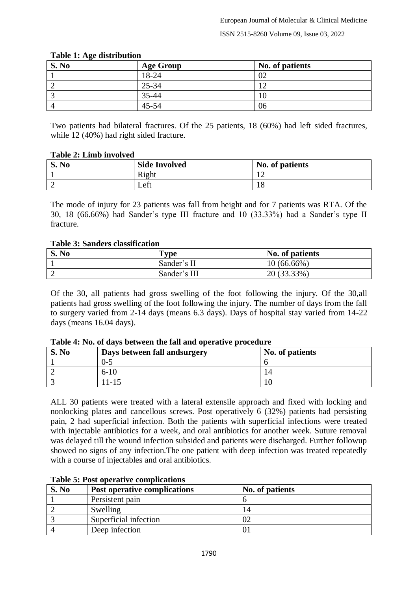| S. No | <b>Age Group</b> | No. of patients |
|-------|------------------|-----------------|
|       | 18-24            | 02              |
|       | $25 - 34$        |                 |
|       | 35-44            | 10              |
|       | $45 - 54$        | 06              |

#### **Table 1: Age distribution**

Two patients had bilateral fractures. Of the 25 patients, 18 (60%) had left sided fractures, while 12 (40%) had right sided fracture.

| <b>Table 2: Limb involved</b> |  |  |  |  |  |
|-------------------------------|--|--|--|--|--|
|-------------------------------|--|--|--|--|--|

| S. No | <b>Side Involved</b> | No. of patients |
|-------|----------------------|-----------------|
|       | Right                | --              |
| ∸     | Left                 | - 0<br>10       |

The mode of injury for 23 patients was fall from height and for 7 patients was RTA. Of the 30, 18 (66.66%) had Sander's type III fracture and 10 (33.33%) had a Sander's type II fracture.

#### **Table 3: Sanders classification**

| S. No | <b>Type</b>  | No. of patients |
|-------|--------------|-----------------|
|       | Sander's II  | $10(66.66\%)$   |
| ∼     | Sander's III | 20 (33.33%)     |

Of the 30, all patients had gross swelling of the foot following the injury. Of the 30,all patients had gross swelling of the foot following the injury. The number of days from the fall to surgery varied from 2-14 days (means 6.3 days). Days of hospital stay varied from 14-22 days (means 16.04 days).

| S. No | Days between fall and surgery | No. of patients |
|-------|-------------------------------|-----------------|
|       | $0 - 5$                       |                 |
|       | $6 - 10$                      | 14              |
|       | $1 - 13$                      |                 |

#### **Table 4: No. of days between the fall and operative procedure**

ALL 30 patients were treated with a lateral extensile approach and fixed with locking and nonlocking plates and cancellous screws. Post operatively 6 (32%) patients had persisting pain, 2 had superficial infection. Both the patients with superficial infections were treated with injectable antibiotics for a week, and oral antibiotics for another week. Suture removal was delayed till the wound infection subsided and patients were discharged. Further followup showed no signs of any infection.The one patient with deep infection was treated repeatedly with a course of injectables and oral antibiotics.

|       | Tuble of T obe operative complications |                 |
|-------|----------------------------------------|-----------------|
| S. No | Post operative complications           | No. of patients |
|       | Persistent pain                        |                 |
|       | Swelling                               | 14              |
|       | Superficial infection                  | 02              |
|       | Deep infection                         | U               |

### **Table 5: Post operative complications**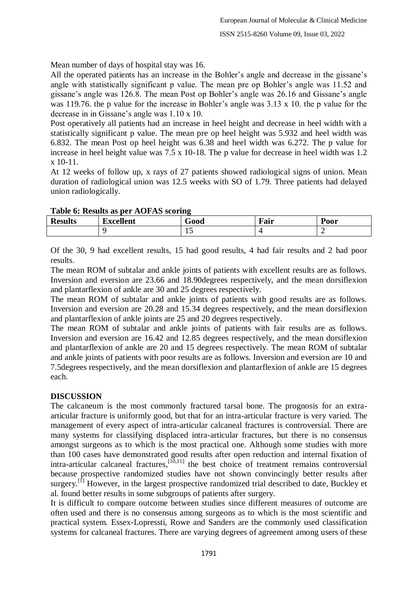Mean number of days of hospital stay was 16.

All the operated patients has an increase in the Bohler's angle and decrease in the gissane's angle with statistically significant p value. The mean pre op Bohler's angle was 11.52 and gissane's angle was 126.8. The mean Post op Bohler's angle was 26.16 and Gissane's angle was 119.76. the p value for the increase in Bohler's angle was 3.13 x 10. the p value for the decrease in in Gissane's angle was 1.10 x 10.

Post operatively all patients had an increase in heel height and decrease in heel width with a statistically significant p value. The mean pre op heel height was 5.932 and heel width was 6.832. The mean Post op heel height was 6.38 and heel width was 6.272. The p value for increase in heel height value was 7.5 x 10-18. The p value for decrease in heel width was 1.2 x 10-11.

At 12 weeks of follow up, x rays of 27 patients showed radiological signs of union. Mean duration of radiological union was 12.5 weeks with SO of 1.79. Three patients had delayed union radiologically.

| THE OF INDIAN AD DUI TION TO DUITING |                  |      |      |           |
|--------------------------------------|------------------|------|------|-----------|
| <b>Results</b>                       | <b>Excellent</b> | Good | Fair | $P_{00}r$ |
|                                      |                  | ∸    |      |           |

#### **Table 6: Results as per AOFAS scoring**

Of the 30, 9 had excellent results, 15 had good results, 4 had fair results and 2 had poor results.

The mean ROM of subtalar and ankle joints of patients with excellent results are as follows. Inversion and eversion are 23.66 and 18.90degrees respectively, and the mean dorsiflexion and plantarflexion of ankle are 30 and 25 degrees respectively.

The mean ROM of subtalar and ankle joints of patients with good results are as follows. Inversion and eversion are 20.28 and 15.34 degrees respectively, and the mean dorsiflexion and plantarflexion of ankle joints are 25 and 20 degrees respectively.

The mean ROM of subtalar and ankle joints of patients with fair results are as follows. Inversion and eversion are 16.42 and 12.85 degrees respectively, and the mean dorsiflexion and plantarflexion of ankle are 20 and 15 degrees respectively. The mean ROM of subtalar and ankle joints of patients with poor results are as follows. Inversion and eversion are 10 and 7.5degrees respectively, and the mean dorsiflexion and plantarflexion of ankle are 15 degrees each.

### **DISCUSSION**

The calcaneum is the most commonly fractured tarsal bone. The prognosis for an extraarticular fracture is uniformly good, but that for an intra-articular fracture is very varied. The management of every aspect of intra-articular calcaneal fractures is controversial. There are many systems for classifying displaced intra-articular fractures, but there is no consensus amongst surgeons as to which is the most practical one. Although some studies with more than 100 cases have demonstrated good results after open reduction and internal fixation of intra-articular calcaneal fractures,  $\left[10,11\right]$  the best choice of treatment remains controversial because prospective randomized studies have not shown convincingly better results after surgery.<sup>[1]</sup> However, in the largest prospective randomized trial described to date, Buckley et al. found better results in some subgroups of patients after surgery.

It is difficult to compare outcome between studies since different measures of outcome are often used and there is no consensus among surgeons as to which is the most scientific and practical system. Essex-Lopressti, Rowe and Sanders are the commonly used classification systems for calcaneal fractures. There are varying degrees of agreement among users of these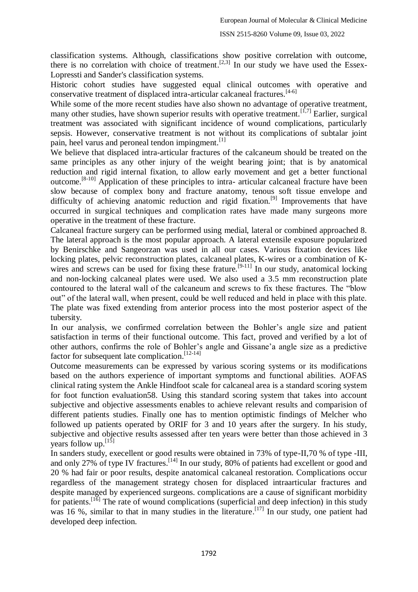classification systems. Although, classifications show positive correlation with outcome, there is no correlation with choice of treatment.<sup>[2,3]</sup> In our study we have used the Essex-Lopressti and Sander's classification systems.

Historic cohort studies have suggested equal clinical outcomes with operative and conservative treatment of displaced intra-articular calcaneal fractures.[4-6]

While some of the more recent studies have also shown no advantage of operative treatment, many other studies, have shown superior results with operative treatment.  $[1,7]$  Earlier, surgical treatment was associated with significant incidence of wound complications, particularly sepsis. However, conservative treatment is not without its complications of subtalar joint pain, heel varus and peroneal tendon impingment.<sup>[1]</sup>

We believe that displaced intra-articular fractures of the calcaneum should be treated on the same principles as any other injury of the weight bearing joint; that is by anatomical reduction and rigid internal fixation, to allow early movement and get a better functional outcome.[8-10] Application of these principles to intra- articular calcaneal fracture have been slow because of complex bony and fracture anatomy, tenous soft tissue envelope and difficulty of achieving anatomic reduction and rigid fixation.<sup>[9]</sup> Improvements that have occurred in surgical techniques and complication rates have made many surgeons more operative in the treatment of these fracture.

Calcaneal fracture surgery can be performed using medial, lateral or combined approached 8. The lateral approach is the most popular approach. A lateral extensile exposure popularized by Benirschke and Sangeorzan was used in all our cases. Various fixation devices like locking plates, pelvic reconstruction plates, calcaneal plates, K-wires or a combination of Kwires and screws can be used for fixing these frature.<sup>[9-11]</sup> In our study, anatomical locking and non-locking calcaneal plates were used. We also used a 3.5 mm reconstruction plate contoured to the lateral wall of the calcaneum and screws to fix these fractures. The "blow out" of the lateral wall, when present, could be well reduced and held in place with this plate. The plate was fixed extending from anterior process into the most posterior aspect of the tubersity.

In our analysis, we confirmed correlation between the Bohler's angle size and patient satisfaction in terms of their functional outcome. This fact, proved and verified by a lot of other authors, confirms the role of Bohler's angle and Gissane'a angle size as a predictive factor for subsequent late complication.<sup>[12-14]</sup>

Outcome measurements can be expressed by various scoring systems or its modifications based on the authors experience of important symptoms and functional abilities. AOFAS clinical rating system the Ankle Hindfoot scale for calcaneal area is a standard scoring system for foot function evaluation58. Using this standard scoring system that takes into account subjective and objective assessments enables to achieve relevant results and comparision of different patients studies. Finally one has to mention optimistic findings of Melcher who followed up patients operated by ORIF for 3 and 10 years after the surgery. In his study, subjective and objective results assessed after ten years were better than those achieved in 3 years follow up.<sup>[15]</sup>

In sanders study, execellent or good results were obtained in 73% of type-II,70 % of type -III, and only 27% of type IV fractures.<sup>[14]</sup> In our study, 80% of patients had excellent or good and 20 % had fair or poor results, despite anatomical calcaneal restoration. Complications occur regardless of the management strategy chosen for displaced intraarticular fractures and despite managed by experienced surgeons. complications are a cause of significant morbidity for patients.<sup>[16]</sup> The rate of wound complications (superficial and deep infection) in this study was 16 %, similar to that in many studies in the literature.<sup>[17]</sup> In our study, one patient had developed deep infection.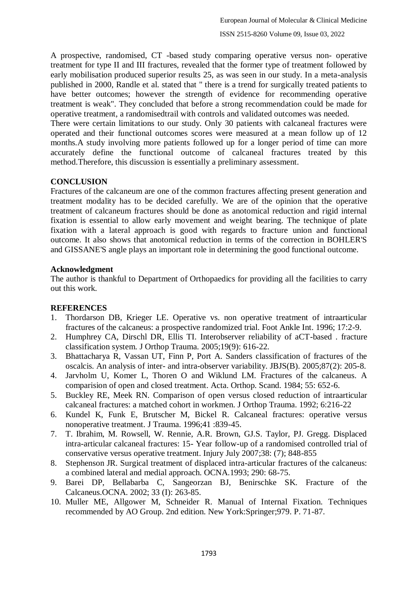A prospective, randomised, CT -based study comparing operative versus non- operative treatment for type II and III fractures, revealed that the former type of treatment followed by early mobilisation produced superior results 25, as was seen in our study. In a meta-analysis published in 2000, Randle et al. stated that " there is a trend for surgically treated patients to have better outcomes; however the strength of evidence for recommending operative treatment is weak". They concluded that before a strong recommendation could be made for operative treatment, a randomisedtrail with controls and validated outcomes was needed.

There were certain limitations to our study. Only 30 patients with calcaneal fractures were operated and their functional outcomes scores were measured at a mean follow up of 12 months.A study involving more patients followed up for a longer period of time can more accurately define the functional outcome of calcaneal fractures treated by this method.Therefore, this discussion is essentially a preliminary assessment.

### **CONCLUSION**

Fractures of the calcaneum are one of the common fractures affecting present generation and treatment modality has to be decided carefully. We are of the opinion that the operative treatment of calcaneum fractures should be done as anotomical reduction and rigid internal fixation is essential to allow early movement and weight bearing. The technique of plate fixation with a lateral approach is good with regards to fracture union and functional outcome. It also shows that anotomical reduction in terms of the correction in BOHLER'S and GISSANE'S angle plays an important role in determining the good functional outcome.

### **Acknowledgment**

The author is thankful to Department of Orthopaedics for providing all the facilities to carry out this work.

## **REFERENCES**

- 1. Thordarson DB, Krieger LE. Operative vs. non operative treatment of intraarticular fractures of the calcaneus: a prospective randomized trial. Foot Ankle Int. 1996; 17:2-9.
- 2. Humphrey CA, Dirschl DR, Ellis TI. Interobserver reliability of aCT-based . fracture classification system. J Orthop Trauma. 2005;19(9): 616-22.
- 3. Bhattacharya R, Vassan UT, Finn P, Port A. Sanders classification of fractures of the oscalcis. An analysis of inter- and intra-observer variability. JBJS(B). 2005;87(2): 205-8.
- 4. Jarvholm U, Komer L, Thoren O and Wiklund LM. Fractures of the calcaneus. A comparision of open and closed treatment. Acta. Orthop. Scand. 1984; 55: 652-6.
- 5. Buckley RE, Meek RN. Comparison of open versus closed reduction of intraarticular calcaneal fractures: a matched cohort in workmen. J Orthop Trauma. 1992; 6:216-22
- 6. Kundel K, Funk E, Brutscher M, Bickel R. Calcaneal fractures: operative versus nonoperative treatment. J Trauma. 1996;41 :839-45.
- 7. T. Ibrahim, M. Rowsell, W. Rennie, A.R. Brown, GJ.S. Taylor, PJ. Gregg. Displaced intra-articular calcaneal fractures: 15- Year follow-up of a randomised controlled trial of conservative versus operative treatment. Injury July 2007;38: (7); 848-855
- 8. Stephenson JR. Surgical treatment of displaced intra-articular fractures of the calcaneus: a combined lateral and medial approach. OCNA.1993; 290: 68-75.
- 9. Barei DP, Bellabarba C, Sangeorzan BJ, Benirschke SK. Fracture of the Calcaneus.OCNA. 2002; 33 (I): 263-85.
- 10. Muller ME, Allgower M, Schneider R. Manual of Internal Fixation. Techniques recommended by AO Group. 2nd edition. New York:Springer;979. P. 71-87.